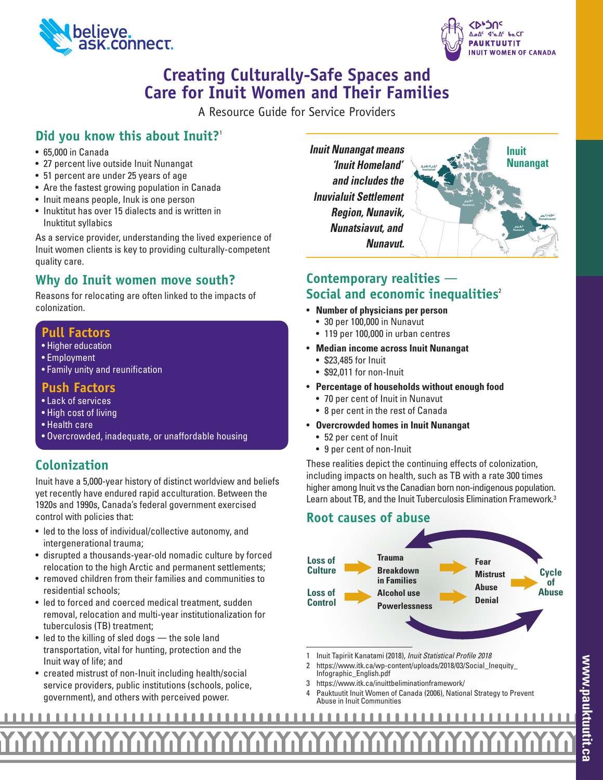



# **Creating Culturally-Safe Spaces and Care for Inuit Women and Their Families**

A Resource Guide for Service Providers

## **Did you know this about Inuit?**<sup>1</sup>

- 65,000 in Canada
- 27 percent live outside Inuit Nunangat
- 51 percent are under 25 years of age
- Are the fastest growing population in Canada
- Inuit means people, Inuk is one person
- Inuktitut has over 15 dialects and is written in Inuktitut syllabics

As a service provider, understanding the lived experience of Inuit women clients is key to providing culturally-competent quality care.

### **Why do Inuit women move south?**

Reasons for relocating are often linked to the impacts of colonization.

### **Pull Factors**

- Higher education
- Employment
- Family unity and reunification

### **Push Factors**

- Lack of services
- High cost of living
- Health care
- Overcrowded, inadequate, or unaffordable housing

## **Colonization**

Inuit have a 5,000-year history of distinct worldview and beliefs yet recently have endured rapid acculturation. Between the 1920s and 1990s, Canada's federal government exercised control with policies that:

- led to the loss of individual/collective autonomy, and intergenerational trauma;
- disrupted a thousands-year-old nomadic culture by forced relocation to the high Arctic and permanent settlements;
- removed children from their families and communities to residential schools;
- led to forced and coerced medical treatment, sudden removal, relocation and multi-year institutionalization for tuberculosis (TB) treatment;
- led to the killing of sled dogs the sole land transportation, vital for hunting, protection and the Inuit way of life; and
- created mistrust of non-Inuit including health/social service providers, public institutions (schools, police, government), and others with perceived power.

*Inuit Nunangat means 'Inuit Homeland' and includes the Inuvialuit Settlement Region, Nunavik, Nunatsiavut, and Nunavut.*



### **Contemporary realities** — **Social and economic inequalities<sup>2</sup>**

- **Number of physicians per person**
	- 30 per 100,000 in Nunavut
	- 119 per 100,000 in urban centres
- **Median income across Inuit Nunangat**
	- \$23,485 for Inuit
	- \$92,011 for non-Inuit
- **Percentage of households without enough food**
	- 70 per cent of Inuit in Nunavut
	- 8 per cent in the rest of Canada
- **Overcrowded homes in Inuit Nunangat**
	- 52 per cent of Inuit
	- 9 per cent of non-Inuit

These realities depict the continuing effects of colonization, including impacts on health, such as TB with a rate 300 times higher among Inuit vs the Canadian born non-indigenous population. Learn about TB, and the Inuit Tuberculosis Elimination Framework. 3

### **Root causes of abuse**



- 1 Inuit Tapiriit Kanatami (2018), *Inuit Statistical Profile 2018*
- 2 https://www.itk.ca/wp-content/uploads/2018/03/Social\_Inequity\_ Infographic\_English.pdf
- 3 https://www.itk.ca/inuittbeliminationframework/
- 4 Pauktuutit Inuit Women of Canada (2006), National Strategy to Prevent Abuse in Inuit Communities

#### <u>11111111111111111111111111</u> . . . .  $\blacksquare$ пT  $\begin{array}{c} \hline \end{array}$  $\mathbb{R}^2$